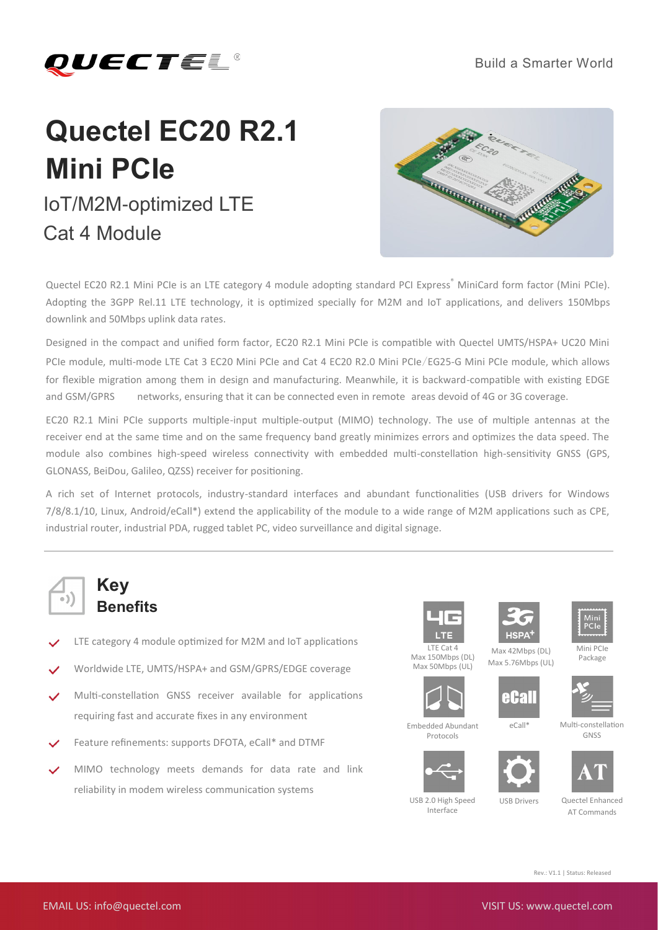

# **Quectel EC20 R2.1 Mini PCIe** IoT/M2M-optimized LTE Cat 4 Module



Quectel EC20 R2.1 Mini PCIe is an LTE category 4 module adopting standard PCI Express® MiniCard form factor (Mini PCIe). Adopting the 3GPP Rel.11 LTE technology, it is optimized specially for M2M and IoT applications, and delivers 150Mbps downlink and 50Mbps uplink data rates.

Designed in the compact and unified form factor, EC20 R2.1 Mini PCIe is compatible with Quectel UMTS/HSPA+ UC20 Mini PCIe module, multi-mode LTE Cat 3 EC20 Mini PCIe and Cat 4 EC20 R2.0 Mini PCIe/EG25-G Mini PCIe module, which allows for flexible migration among them in design and manufacturing. Meanwhile, it is backward-compatible with existing EDGE and GSM/GPRS networks, ensuring that it can be connected even in remote areas devoid of 4G or 3G coverage.

EC20 R2.1 Mini PCIe supports multiple-input multiple-output (MIMO) technology. The use of multiple antennas at the receiver end at the same time and on the same frequency band greatly minimizes errors and optimizes the data speed. The module also combines high-speed wireless connectivity with embedded multi-constellation high-sensitivity GNSS (GPS, GLONASS, BeiDou, Galileo, QZSS) receiver for positioning.

A rich set of Internet protocols, industry-standard interfaces and abundant functionalities (USB drivers for Windows 7/8/8.1/10, Linux, Android/eCall\*) extend the applicability of the module to a wide range of M2M applications such as CPE, industrial router, industrial PDA, rugged tablet PC, video surveillance and digital signage.



# **Key Benefits**

- LTE category 4 module optimized for M2M and IoT applications
- Worldwide LTE, UMTS/HSPA+ and GSM/GPRS/EDGE coverage
- Multi-constellation GNSS receiver available for applications requiring fast and accurate fixes in any environment
- Feature refinements: supports DFOTA, eCall\* and DTMF
- MIMO technology meets demands for data rate and link reliability in modem wireless communication systems





Max 42Mbps (DL) Max 5.76Mbps (UL)



Mini PCIe Package

LTE Cat 4 Max 150Mbps (DL) Max 50Mbps (UL)



Embedded Abundant Protocols

USB 2.0 High Speed Interface







eCall\* Multi-constellation GNSS







USB Drivers Quectel Enhanced AT Commands

Rev.: V1.1 | Status: Released